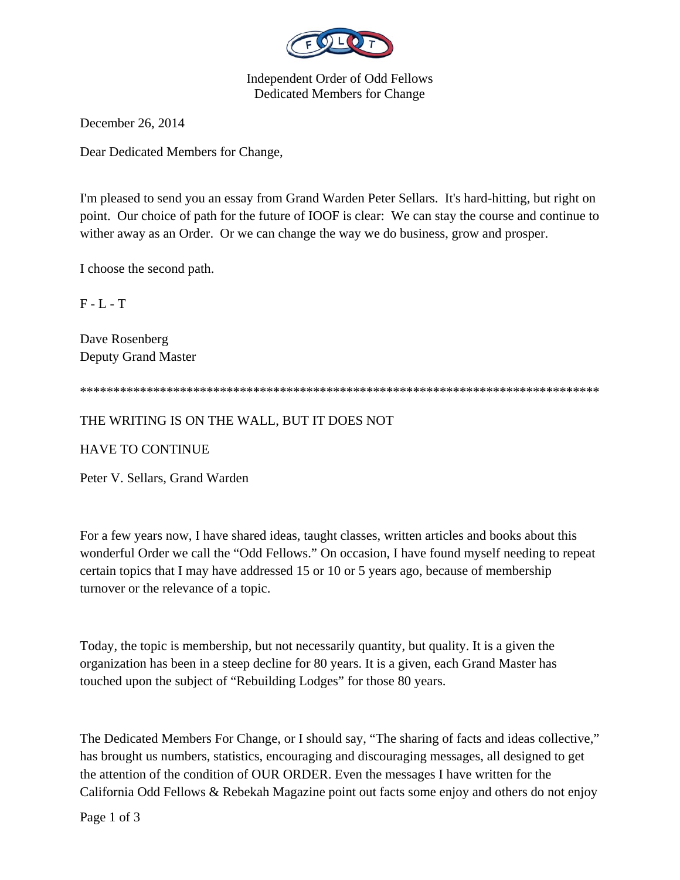

Independent Order of Odd Fellows Dedicated Members for Change

December 26, 2014

Dear Dedicated Members for Change,

I'm pleased to send you an essay from Grand Warden Peter Sellars. It's hard-hitting, but right on point. Our choice of path for the future of IOOF is clear: We can stay the course and continue to wither away as an Order. Or we can change the way we do business, grow and prosper.

I choose the second path.

 $F - L - T$ 

Dave Rosenberg Deputy Grand Master

\*\*\*\*\*\*\*\*\*\*\*\*\*\*\*\*\*\*\*\*\*\*\*\*\*\*\*\*\*\*\*\*\*\*\*\*\*\*\*\*\*\*\*\*\*\*\*\*\*\*\*\*\*\*\*\*\*\*\*\*\*\*\*\*\*\*\*\*\*\*\*\*\*\*\*\*\*\*

## THE WRITING IS ON THE WALL, BUT IT DOES NOT

HAVE TO CONTINUE

Peter V. Sellars, Grand Warden

For a few years now, I have shared ideas, taught classes, written articles and books about this wonderful Order we call the "Odd Fellows." On occasion, I have found myself needing to repeat certain topics that I may have addressed 15 or 10 or 5 years ago, because of membership turnover or the relevance of a topic.

Today, the topic is membership, but not necessarily quantity, but quality. It is a given the organization has been in a steep decline for 80 years. It is a given, each Grand Master has touched upon the subject of "Rebuilding Lodges" for those 80 years.

The Dedicated Members For Change, or I should say, "The sharing of facts and ideas collective," has brought us numbers, statistics, encouraging and discouraging messages, all designed to get the attention of the condition of OUR ORDER. Even the messages I have written for the California Odd Fellows & Rebekah Magazine point out facts some enjoy and others do not enjoy

Page 1 of 3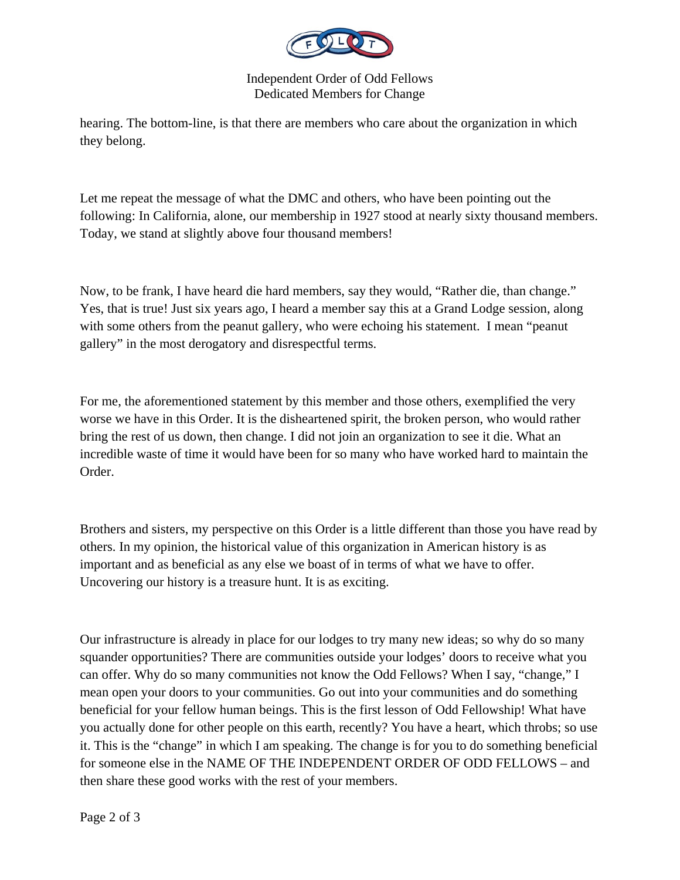

Independent Order of Odd Fellows Dedicated Members for Change

hearing. The bottom-line, is that there are members who care about the organization in which they belong.

Let me repeat the message of what the DMC and others, who have been pointing out the following: In California, alone, our membership in 1927 stood at nearly sixty thousand members. Today, we stand at slightly above four thousand members!

Now, to be frank, I have heard die hard members, say they would, "Rather die, than change." Yes, that is true! Just six years ago, I heard a member say this at a Grand Lodge session, along with some others from the peanut gallery, who were echoing his statement. I mean "peanut gallery" in the most derogatory and disrespectful terms.

For me, the aforementioned statement by this member and those others, exemplified the very worse we have in this Order. It is the disheartened spirit, the broken person, who would rather bring the rest of us down, then change. I did not join an organization to see it die. What an incredible waste of time it would have been for so many who have worked hard to maintain the Order.

Brothers and sisters, my perspective on this Order is a little different than those you have read by others. In my opinion, the historical value of this organization in American history is as important and as beneficial as any else we boast of in terms of what we have to offer. Uncovering our history is a treasure hunt. It is as exciting.

Our infrastructure is already in place for our lodges to try many new ideas; so why do so many squander opportunities? There are communities outside your lodges' doors to receive what you can offer. Why do so many communities not know the Odd Fellows? When I say, "change," I mean open your doors to your communities. Go out into your communities and do something beneficial for your fellow human beings. This is the first lesson of Odd Fellowship! What have you actually done for other people on this earth, recently? You have a heart, which throbs; so use it. This is the "change" in which I am speaking. The change is for you to do something beneficial for someone else in the NAME OF THE INDEPENDENT ORDER OF ODD FELLOWS – and then share these good works with the rest of your members.